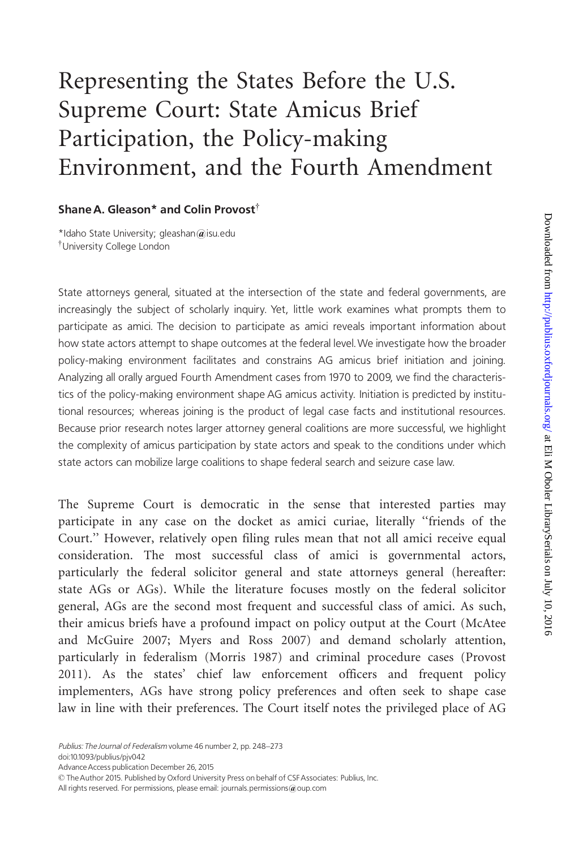# Representing the States Before the U.S. Supreme Court: State Amicus Brief Participation, the Policy-making Environment, and the Fourth Amendment

#### Shane A. Gleason\* and Colin Provost<sup>†</sup>

\*Idaho State University; gleashan@isu.edu <sup>†</sup>University College London

State attorneys general, situated at the intersection of the state and federal governments, are increasingly the subject of scholarly inquiry. Yet, little work examines what prompts them to participate as amici. The decision to participate as amici reveals important information about how state actors attempt to shape outcomes at the federal level.We investigate how the broader policy-making environment facilitates and constrains AG amicus brief initiation and joining. Analyzing all orally argued Fourth Amendment cases from 1970 to 2009, we find the characteristics of the policy-making environment shape AG amicus activity. Initiation is predicted by institutional resources; whereas joining is the product of legal case facts and institutional resources. Because prior research notes larger attorney general coalitions are more successful, we highlight the complexity of amicus participation by state actors and speak to the conditions under which state actors can mobilize large coalitions to shape federal search and seizure case law.

The Supreme Court is democratic in the sense that interested parties may participate in any case on the docket as amici curiae, literally ''friends of the Court.'' However, relatively open filing rules mean that not all amici receive equal consideration. The most successful class of amici is governmental actors, particularly the federal solicitor general and state attorneys general (hereafter: state AGs or AGs). While the literature focuses mostly on the federal solicitor general, AGs are the second most frequent and successful class of amici. As such, their amicus briefs have a profound impact on policy output at the Court [\(McAtee](#page-24-0) [and McGuire 2007; Myers and Ross 2007\)](#page-24-0) and demand scholarly attention, particularly in federalism ([Morris 1987\)](#page-24-0) and criminal procedure cases [\(Provost](#page-25-0) [2011\)](#page-25-0). As the states' chief law enforcement officers and frequent policy implementers, AGs have strong policy preferences and often seek to shape case law in line with their preferences. The Court itself notes the privileged place of AG

AdvanceAccess publication December 26, 2015

doi:10.1093/publius/pjv042

<sup>-</sup> TheAuthor 2015. Published by Oxford University Press on behalf of CSF Associates: Publius, Inc.

All rights reserved. For permissions, please email: journals.permissions@oup.com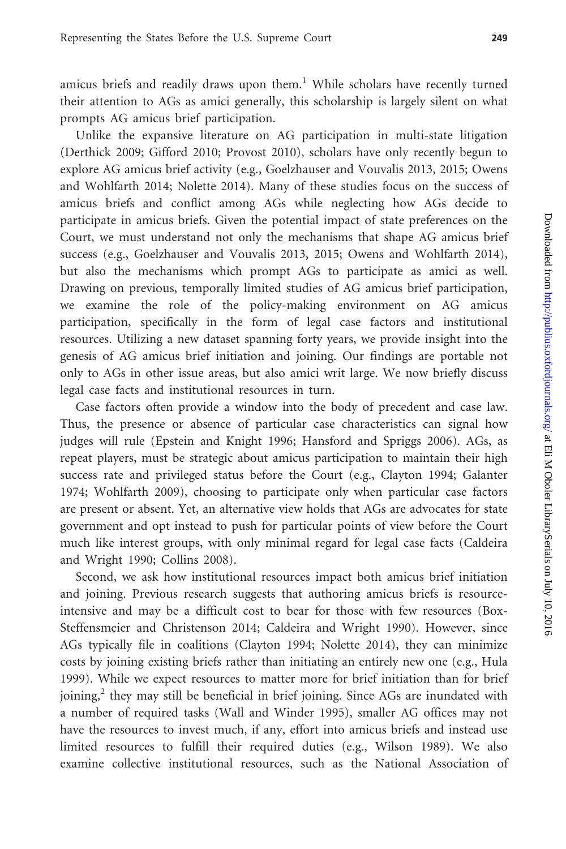amicus briefs and readily draws upon them.<sup>1</sup> While scholars have recently turned their attention to AGs as amici generally, this scholarship is largely silent on what prompts AG amicus brief participation.

Unlike the expansive literature on AG participation in multi-state litigation ([Derthick 2009; Gifford 2010](#page-23-0); [Provost 2010](#page-25-0)), scholars have only recently begun to explore AG amicus brief activity (e.g., [Goelzhauser and Vouvalis 2013](#page-23-0), [2015;](#page-23-0) [Owens](#page-24-0) [and Wohlfarth 2014](#page-24-0); [Nolette 2014\)](#page-24-0). Many of these studies focus on the success of amicus briefs and conflict among AGs while neglecting how AGs decide to participate in amicus briefs. Given the potential impact of state preferences on the Court, we must understand not only the mechanisms that shape AG amicus brief success (e.g., [Goelzhauser and Vouvalis 2013](#page-23-0), [2015; Owens and Wohlfarth 2014\),](#page-23-0) but also the mechanisms which prompt AGs to participate as amici as well. Drawing on previous, temporally limited studies of AG amicus brief participation, we examine the role of the policy-making environment on AG amicus participation, specifically in the form of legal case factors and institutional resources. Utilizing a new dataset spanning forty years, we provide insight into the genesis of AG amicus brief initiation and joining. Our findings are portable not only to AGs in other issue areas, but also amici writ large. We now briefly discuss legal case facts and institutional resources in turn.

Case factors often provide a window into the body of precedent and case law. Thus, the presence or absence of particular case characteristics can signal how judges will rule ([Epstein and Knight 1996; Hansford and Spriggs 2006](#page-23-0)). AGs, as repeat players, must be strategic about amicus participation to maintain their high success rate and privileged status before the Court (e.g., [Clayton 1994;](#page-22-0) [Galanter](#page-23-0) [1974;](#page-23-0) [Wohlfarth 2009](#page-25-0)), choosing to participate only when particular case factors are present or absent. Yet, an alternative view holds that AGs are advocates for state government and opt instead to push for particular points of view before the Court much like interest groups, with only minimal regard for legal case facts [\(Caldeira](#page-22-0) [and Wright 1990;](#page-22-0) [Collins 2008](#page-23-0)).

Second, we ask how institutional resources impact both amicus brief initiation and joining. Previous research suggests that authoring amicus briefs is resourceintensive and may be a difficult cost to bear for those with few resources [\(Box-](#page-22-0)[Steffensmeier and Christenson 2014](#page-22-0); [Caldeira and Wright 1990\)](#page-22-0). However, since AGs typically file in coalitions ([Clayton 1994;](#page-22-0) [Nolette 2014](#page-24-0)), they can minimize costs by joining existing briefs rather than initiating an entirely new one (e.g., [Hula](#page-24-0) [1999\)](#page-24-0). While we expect resources to matter more for brief initiation than for brief joining, $<sup>2</sup>$  they may still be beneficial in brief joining. Since AGs are inundated with</sup> a number of required tasks [\(Wall and Winder 1995\)](#page-25-0), smaller AG offices may not have the resources to invest much, if any, effort into amicus briefs and instead use limited resources to fulfill their required duties (e.g., [Wilson 1989](#page-25-0)). We also examine collective institutional resources, such as the National Association of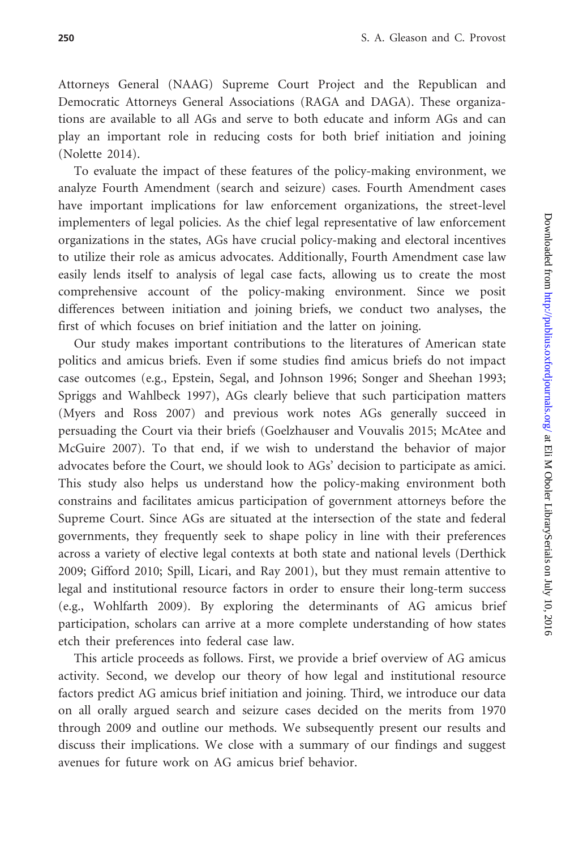Attorneys General (NAAG) Supreme Court Project and the Republican and Democratic Attorneys General Associations (RAGA and DAGA). These organizations are available to all AGs and serve to both educate and inform AGs and can play an important role in reducing costs for both brief initiation and joining [\(Nolette 2014\)](#page-24-0).

To evaluate the impact of these features of the policy-making environment, we analyze Fourth Amendment (search and seizure) cases. Fourth Amendment cases have important implications for law enforcement organizations, the street-level implementers of legal policies. As the chief legal representative of law enforcement organizations in the states, AGs have crucial policy-making and electoral incentives to utilize their role as amicus advocates. Additionally, Fourth Amendment case law easily lends itself to analysis of legal case facts, allowing us to create the most comprehensive account of the policy-making environment. Since we posit differences between initiation and joining briefs, we conduct two analyses, the first of which focuses on brief initiation and the latter on joining.

Our study makes important contributions to the literatures of American state politics and amicus briefs. Even if some studies find amicus briefs do not impact case outcomes (e.g., [Epstein, Segal, and Johnson 1996;](#page-23-0) [Songer and Sheehan 1993;](#page-25-0) [Spriggs and Wahlbeck 1997](#page-25-0)), AGs clearly believe that such participation matters [\(Myers and Ross 2007\)](#page-24-0) and previous work notes AGs generally succeed in persuading the Court via their briefs [\(Goelzhauser and Vouvalis 2015; McAtee and](#page-23-0) [McGuire 2007\).](#page-23-0) To that end, if we wish to understand the behavior of major advocates before the Court, we should look to AGs' decision to participate as amici. This study also helps us understand how the policy-making environment both constrains and facilitates amicus participation of government attorneys before the Supreme Court. Since AGs are situated at the intersection of the state and federal governments, they frequently seek to shape policy in line with their preferences across a variety of elective legal contexts at both state and national levels ([Derthick](#page-23-0) [2009; Gifford 2010;](#page-23-0) [Spill, Licari, and Ray 2001](#page-25-0)), but they must remain attentive to legal and institutional resource factors in order to ensure their long-term success (e.g., [Wohlfarth 2009](#page-25-0)). By exploring the determinants of AG amicus brief participation, scholars can arrive at a more complete understanding of how states etch their preferences into federal case law.

This article proceeds as follows. First, we provide a brief overview of AG amicus activity. Second, we develop our theory of how legal and institutional resource factors predict AG amicus brief initiation and joining. Third, we introduce our data on all orally argued search and seizure cases decided on the merits from 1970 through 2009 and outline our methods. We subsequently present our results and discuss their implications. We close with a summary of our findings and suggest avenues for future work on AG amicus brief behavior.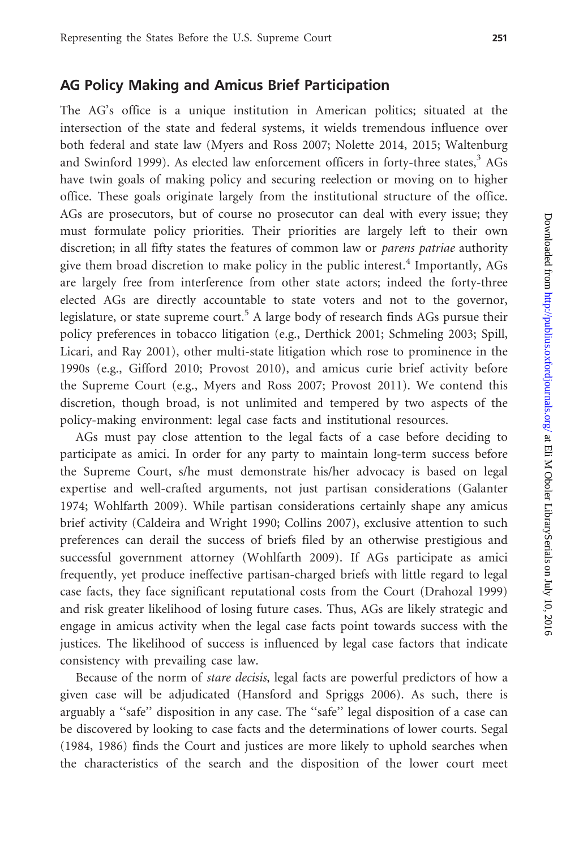# AG Policy Making and Amicus Brief Participation

The AG's office is a unique institution in American politics; situated at the intersection of the state and federal systems, it wields tremendous influence over both federal and state law [\(Myers and Ross 2007; Nolette 2014](#page-24-0), [2015;](#page-24-0) [Waltenburg](#page-25-0) [and Swinford 1999\)](#page-25-0). As elected law enforcement officers in forty-three states, $3$  AGs have twin goals of making policy and securing reelection or moving on to higher office. These goals originate largely from the institutional structure of the office. AGs are prosecutors, but of course no prosecutor can deal with every issue; they must formulate policy priorities. Their priorities are largely left to their own discretion; in all fifty states the features of common law or parens patriae authority give them broad discretion to make policy in the public interest.<sup>4</sup> Importantly, AGs are largely free from interference from other state actors; indeed the forty-three elected AGs are directly accountable to state voters and not to the governor, legislature, or state supreme court.<sup>5</sup> A large body of research finds AGs pursue their policy preferences in tobacco litigation (e.g., Derthick 2001; [Schmeling 2003](#page-25-0); [Spill,](#page-25-0) [Licari, and Ray 2001\)](#page-25-0), other multi-state litigation which rose to prominence in the 1990s (e.g., [Gifford 2010](#page-23-0); [Provost 2010\)](#page-25-0), and amicus curie brief activity before the Supreme Court (e.g., [Myers and Ross 2007;](#page-24-0) [Provost 2011](#page-25-0)). We contend this discretion, though broad, is not unlimited and tempered by two aspects of the policy-making environment: legal case facts and institutional resources.

AGs must pay close attention to the legal facts of a case before deciding to participate as amici. In order for any party to maintain long-term success before the Supreme Court, s/he must demonstrate his/her advocacy is based on legal expertise and well-crafted arguments, not just partisan considerations [\(Galanter](#page-23-0) [1974;](#page-23-0) [Wohlfarth 2009\)](#page-25-0). While partisan considerations certainly shape any amicus brief activity [\(Caldeira and Wright 1990;](#page-22-0) [Collins 2007](#page-23-0)), exclusive attention to such preferences can derail the success of briefs filed by an otherwise prestigious and successful government attorney ([Wohlfarth 2009](#page-25-0)). If AGs participate as amici frequently, yet produce ineffective partisan-charged briefs with little regard to legal case facts, they face significant reputational costs from the Court [\(Drahozal 1999\)](#page-23-0) and risk greater likelihood of losing future cases. Thus, AGs are likely strategic and engage in amicus activity when the legal case facts point towards success with the justices. The likelihood of success is influenced by legal case factors that indicate consistency with prevailing case law.

Because of the norm of stare decisis, legal facts are powerful predictors of how a given case will be adjudicated ([Hansford and Spriggs 2006](#page-23-0)). As such, there is arguably a ''safe'' disposition in any case. The ''safe'' legal disposition of a case can be discovered by looking to case facts and the determinations of lower courts. Segal ([1984, 1986\)](#page-25-0) finds the Court and justices are more likely to uphold searches when the characteristics of the search and the disposition of the lower court meet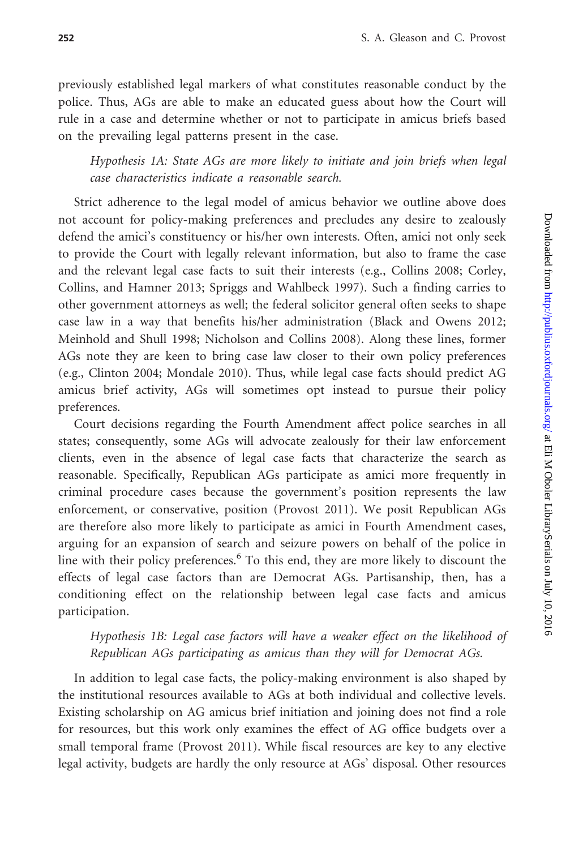previously established legal markers of what constitutes reasonable conduct by the police. Thus, AGs are able to make an educated guess about how the Court will rule in a case and determine whether or not to participate in amicus briefs based on the prevailing legal patterns present in the case.

Hypothesis 1A: State AGs are more likely to initiate and join briefs when legal case characteristics indicate a reasonable search.

Strict adherence to the legal model of amicus behavior we outline above does not account for policy-making preferences and precludes any desire to zealously defend the amici's constituency or his/her own interests. Often, amici not only seek to provide the Court with legally relevant information, but also to frame the case and the relevant legal case facts to suit their interests (e.g., [Collins 2008; Corley,](#page-23-0) [Collins, and Hamner 2013;](#page-23-0) [Spriggs and Wahlbeck 1997](#page-25-0)). Such a finding carries to other government attorneys as well; the federal solicitor general often seeks to shape case law in a way that benefits his/her administration ([Black and Owens 2012;](#page-22-0) [Meinhold and Shull 1998](#page-24-0); [Nicholson and Collins 2008\)](#page-24-0). Along these lines, former AGs note they are keen to bring case law closer to their own policy preferences (e.g., Clinton 2004; [Mondale 2010\)](#page-24-0). Thus, while legal case facts should predict AG amicus brief activity, AGs will sometimes opt instead to pursue their policy preferences.

Court decisions regarding the Fourth Amendment affect police searches in all states; consequently, some AGs will advocate zealously for their law enforcement clients, even in the absence of legal case facts that characterize the search as reasonable. Specifically, Republican AGs participate as amici more frequently in criminal procedure cases because the government's position represents the law enforcement, or conservative, position [\(Provost 2011\)](#page-25-0). We posit Republican AGs are therefore also more likely to participate as amici in Fourth Amendment cases, arguing for an expansion of search and seizure powers on behalf of the police in line with their policy preferences.<sup>6</sup> To this end, they are more likely to discount the effects of legal case factors than are Democrat AGs. Partisanship, then, has a conditioning effect on the relationship between legal case facts and amicus participation.

# Hypothesis 1B: Legal case factors will have a weaker effect on the likelihood of Republican AGs participating as amicus than they will for Democrat AGs.

In addition to legal case facts, the policy-making environment is also shaped by the institutional resources available to AGs at both individual and collective levels. Existing scholarship on AG amicus brief initiation and joining does not find a role for resources, but this work only examines the effect of AG office budgets over a small temporal frame [\(Provost 2011\)](#page-25-0). While fiscal resources are key to any elective legal activity, budgets are hardly the only resource at AGs' disposal. Other resources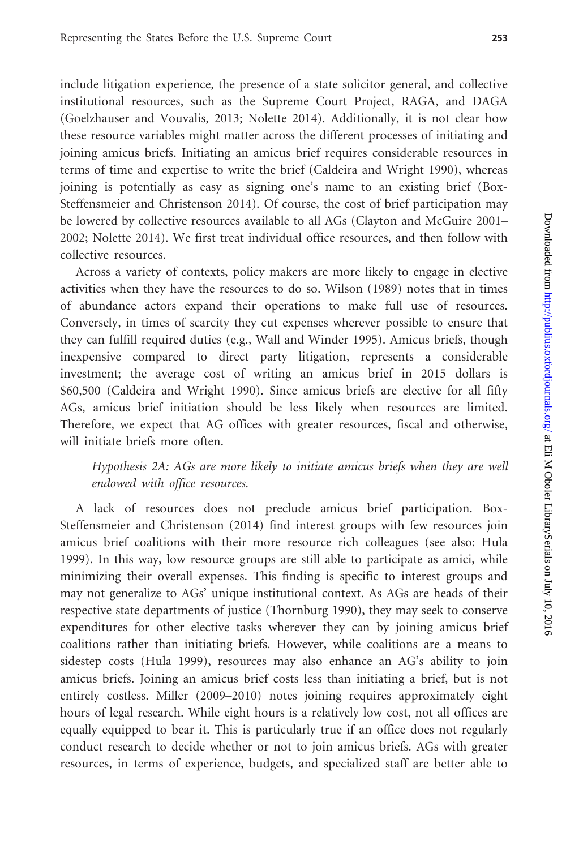include litigation experience, the presence of a state solicitor general, and collective institutional resources, such as the Supreme Court Project, RAGA, and DAGA ([Goelzhauser and Vouvalis, 2013;](#page-23-0) [Nolette 2014](#page-24-0)). Additionally, it is not clear how these resource variables might matter across the different processes of initiating and joining amicus briefs. Initiating an amicus brief requires considerable resources in terms of time and expertise to write the brief [\(Caldeira and Wright 1990](#page-22-0)), whereas joining is potentially as easy as signing one's name to an existing brief [\(Box-](#page-22-0)[Steffensmeier and Christenson 2014](#page-22-0)). Of course, the cost of brief participation may be lowered by collective resources available to all AGs ([Clayton and McGuire 2001–](#page-23-0) [2002;](#page-23-0) [Nolette 2014\)](#page-24-0). We first treat individual office resources, and then follow with collective resources.

Across a variety of contexts, policy makers are more likely to engage in elective activities when they have the resources to do so. [Wilson \(1989\)](#page-25-0) notes that in times of abundance actors expand their operations to make full use of resources. Conversely, in times of scarcity they cut expenses wherever possible to ensure that they can fulfill required duties (e.g., [Wall and Winder 1995](#page-25-0)). Amicus briefs, though inexpensive compared to direct party litigation, represents a considerable investment; the average cost of writing an amicus brief in 2015 dollars is \$60,500 [\(Caldeira and Wright 1990\).](#page-22-0) Since amicus briefs are elective for all fifty AGs, amicus brief initiation should be less likely when resources are limited. Therefore, we expect that AG offices with greater resources, fiscal and otherwise, will initiate briefs more often.

## Hypothesis 2A: AGs are more likely to initiate amicus briefs when they are well endowed with office resources.

A lack of resources does not preclude amicus brief participation. [Box-](#page-22-0)[Steffensmeier and Christenson \(2014\)](#page-22-0) find interest groups with few resources join amicus brief coalitions with their more resource rich colleagues (see also: [Hula](#page-24-0) [1999\)](#page-24-0). In this way, low resource groups are still able to participate as amici, while minimizing their overall expenses. This finding is specific to interest groups and may not generalize to AGs' unique institutional context. As AGs are heads of their respective state departments of justice [\(Thornburg 1990\)](#page-25-0), they may seek to conserve expenditures for other elective tasks wherever they can by joining amicus brief coalitions rather than initiating briefs. However, while coalitions are a means to sidestep costs ([Hula 1999\)](#page-24-0), resources may also enhance an AG's ability to join amicus briefs. Joining an amicus brief costs less than initiating a brief, but is not entirely costless. [Miller \(2009–2010\)](#page-24-0) notes joining requires approximately eight hours of legal research. While eight hours is a relatively low cost, not all offices are equally equipped to bear it. This is particularly true if an office does not regularly conduct research to decide whether or not to join amicus briefs. AGs with greater resources, in terms of experience, budgets, and specialized staff are better able to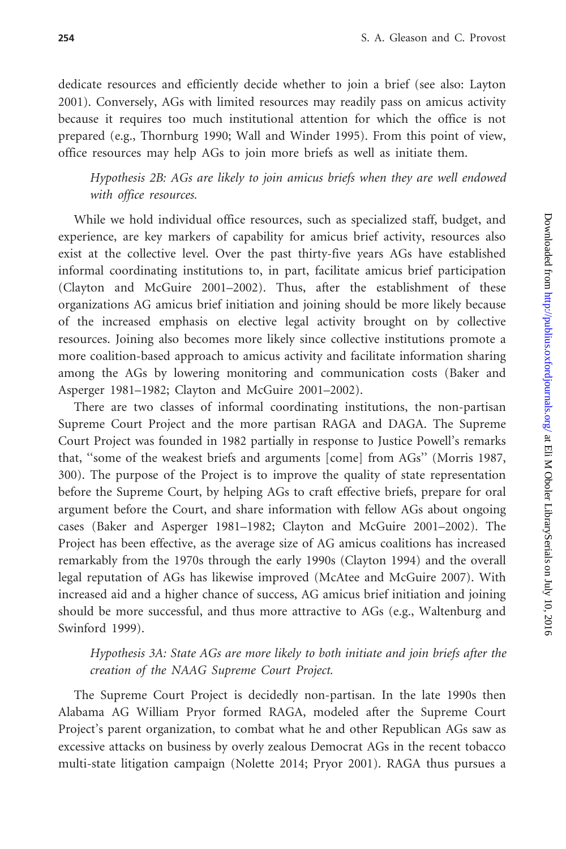dedicate resources and efficiently decide whether to join a brief (see also: [Layton](#page-24-0) [2001\)](#page-24-0). Conversely, AGs with limited resources may readily pass on amicus activity because it requires too much institutional attention for which the office is not prepared (e.g., [Thornburg 1990](#page-25-0); [Wall and Winder 1995\)](#page-25-0). From this point of view, office resources may help AGs to join more briefs as well as initiate them.

Hypothesis 2B: AGs are likely to join amicus briefs when they are well endowed with office resources.

While we hold individual office resources, such as specialized staff, budget, and experience, are key markers of capability for amicus brief activity, resources also exist at the collective level. Over the past thirty-five years AGs have established informal coordinating institutions to, in part, facilitate amicus brief participation [\(Clayton and McGuire 2001–2002\)](#page-23-0). Thus, after the establishment of these organizations AG amicus brief initiation and joining should be more likely because of the increased emphasis on elective legal activity brought on by collective resources. Joining also becomes more likely since collective institutions promote a more coalition-based approach to amicus activity and facilitate information sharing among the AGs by lowering monitoring and communication costs ([Baker and](#page-22-0) [Asperger 1981–1982;](#page-22-0) [Clayton and McGuire 2001–2002\)](#page-23-0).

There are two classes of informal coordinating institutions, the non-partisan Supreme Court Project and the more partisan RAGA and DAGA. The Supreme Court Project was founded in 1982 partially in response to Justice Powell's remarks that, ''some of the weakest briefs and arguments [come] from AGs'' ([Morris 1987,](#page-24-0) 300). The purpose of the Project is to improve the quality of state representation before the Supreme Court, by helping AGs to craft effective briefs, prepare for oral argument before the Court, and share information with fellow AGs about ongoing cases ([Baker and Asperger 1981–1982;](#page-22-0) [Clayton and McGuire 2001–2002\)](#page-23-0). The Project has been effective, as the average size of AG amicus coalitions has increased remarkably from the 1970s through the early 1990s [\(Clayton 1994](#page-22-0)) and the overall legal reputation of AGs has likewise improved [\(McAtee and McGuire 2007\).](#page-23-0) With increased aid and a higher chance of success, AG amicus brief initiation and joining should be more successful, and thus more attractive to AGs (e.[g., Waltenburg and](#page-25-0) [Swinford 1999\).](#page-25-0)

# Hypothesis 3A: State AGs are more likely to both initiate and join briefs after the creation of the NAAG Supreme Court Project.

The Supreme Court Project is decidedly non-partisan. In the late 1990s then Alabama AG William Pryor formed RAGA, modeled after the Supreme Court Project's parent organization, to combat what he and other Republican AGs saw as excessive attacks on business by overly zealous Democrat AGs in the recent tobacco multi-state litigation campaign ([Nolette 2014;](#page-24-0) [Pryor 2001\)](#page-25-0). RAGA thus pursues a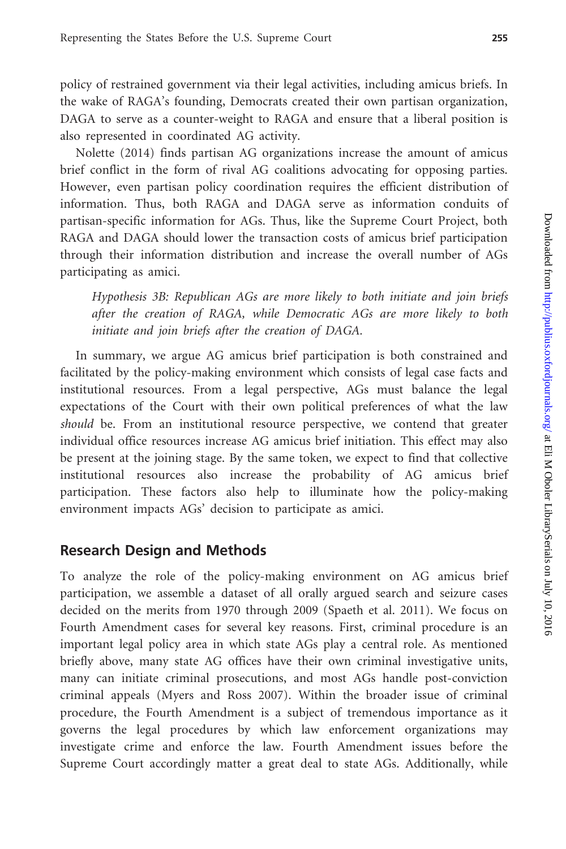policy of restrained government via their legal activities, including amicus briefs. In the wake of RAGA's founding, Democrats created their own partisan organization, DAGA to serve as a counter-weight to RAGA and ensure that a liberal position is also represented in coordinated AG activity.

[Nolette \(2014\)](#page-24-0) finds partisan AG organizations increase the amount of amicus brief conflict in the form of rival AG coalitions advocating for opposing parties. However, even partisan policy coordination requires the efficient distribution of information. Thus, both RAGA and DAGA serve as information conduits of partisan-specific information for AGs. Thus, like the Supreme Court Project, both RAGA and DAGA should lower the transaction costs of amicus brief participation through their information distribution and increase the overall number of AGs participating as amici.

Hypothesis 3B: Republican AGs are more likely to both initiate and join briefs after the creation of RAGA, while Democratic AGs are more likely to both initiate and join briefs after the creation of DAGA.

In summary, we argue AG amicus brief participation is both constrained and facilitated by the policy-making environment which consists of legal case facts and institutional resources. From a legal perspective, AGs must balance the legal expectations of the Court with their own political preferences of what the law should be. From an institutional resource perspective, we contend that greater individual office resources increase AG amicus brief initiation. This effect may also be present at the joining stage. By the same token, we expect to find that collective institutional resources also increase the probability of AG amicus brief participation. These factors also help to illuminate how the policy-making environment impacts AGs' decision to participate as amici.

# Research Design and Methods

To analyze the role of the policy-making environment on AG amicus brief participation, we assemble a dataset of all orally argued search and seizure cases decided on the merits from 1970 through 2009 [\(Spaeth et al. 2011\)](#page-25-0). We focus on Fourth Amendment cases for several key reasons. First, criminal procedure is an important legal policy area in which state AGs play a central role. As mentioned briefly above, many state AG offices have their own criminal investigative units, many can initiate criminal prosecutions, and most AGs handle post-conviction criminal appeals [\(Myers and Ross 2007\).](#page-24-0) Within the broader issue of criminal procedure, the Fourth Amendment is a subject of tremendous importance as it governs the legal procedures by which law enforcement organizations may investigate crime and enforce the law. Fourth Amendment issues before the Supreme Court accordingly matter a great deal to state AGs. Additionally, while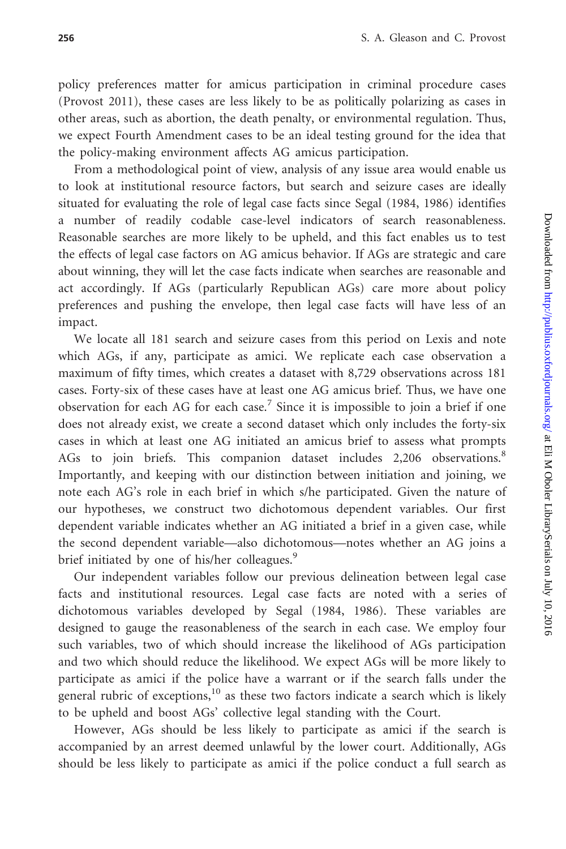policy preferences matter for amicus participation in criminal procedure cases [\(Provost 2011\)](#page-25-0), these cases are less likely to be as politically polarizing as cases in other areas, such as abortion, the death penalty, or environmental regulation. Thus, we expect Fourth Amendment cases to be an ideal testing ground for the idea that the policy-making environment affects AG amicus participation.

From a methodological point of view, analysis of any issue area would enable us to look at institutional resource factors, but search and seizure cases are ideally situated for evaluating the role of legal case facts since Segal [\(1984, 1986](#page-25-0)) identifies a number of readily codable case-level indicators of search reasonableness. Reasonable searches are more likely to be upheld, and this fact enables us to test the effects of legal case factors on AG amicus behavior. If AGs are strategic and care about winning, they will let the case facts indicate when searches are reasonable and act accordingly. If AGs (particularly Republican AGs) care more about policy preferences and pushing the envelope, then legal case facts will have less of an impact.

We locate all 181 search and seizure cases from this period on Lexis and note which AGs, if any, participate as amici. We replicate each case observation a maximum of fifty times, which creates a dataset with 8,729 observations across 181 cases. Forty-six of these cases have at least one AG amicus brief. Thus, we have one observation for each AG for each case.<sup>7</sup> Since it is impossible to join a brief if one does not already exist, we create a second dataset which only includes the forty-six cases in which at least one AG initiated an amicus brief to assess what prompts AGs to join briefs. This companion dataset includes 2,206 observations.<sup>8</sup> Importantly, and keeping with our distinction between initiation and joining, we note each AG's role in each brief in which s/he participated. Given the nature of our hypotheses, we construct two dichotomous dependent variables. Our first dependent variable indicates whether an AG initiated a brief in a given case, while the second dependent variable—also dichotomous—notes whether an AG joins a brief initiated by one of his/her colleagues.<sup>9</sup>

Our independent variables follow our previous delineation between legal case facts and institutional resources. Legal case facts are noted with a series of dichotomous variables developed by Segal ([1984, 1986](#page-25-0)). These variables are designed to gauge the reasonableness of the search in each case. We employ four such variables, two of which should increase the likelihood of AGs participation and two which should reduce the likelihood. We expect AGs will be more likely to participate as amici if the police have a warrant or if the search falls under the general rubric of exceptions, $10$  as these two factors indicate a search which is likely to be upheld and boost AGs' collective legal standing with the Court.

However, AGs should be less likely to participate as amici if the search is accompanied by an arrest deemed unlawful by the lower court. Additionally, AGs should be less likely to participate as amici if the police conduct a full search as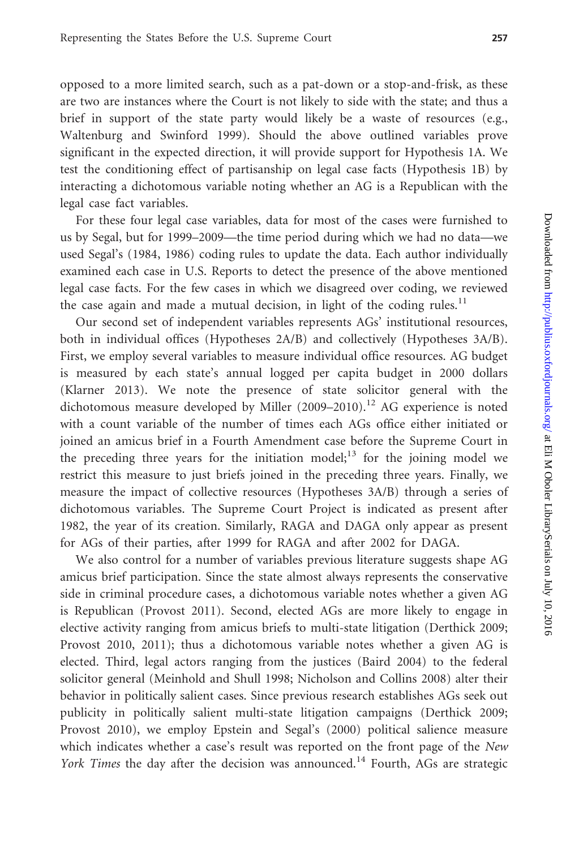opposed to a more limited search, such as a pat-down or a stop-and-frisk, as these are two are instances where the Court is not likely to side with the state; and thus a brief in support of the state party would likely be a waste of resources (e.g., Waltenburg and Swinford 1999). Should the above outlined variables prove significant in the expected direction, it will provide support for Hypothesis 1A. We test the conditioning effect of partisanship on legal case facts (Hypothesis 1B) by interacting a dichotomous variable noting whether an AG is a Republican with the legal case fact variables.

For these four legal case variables, data for most of the cases were furnished to us by Segal, but for 1999–2009—the time period during which we had no data—we used Segal's [\(1984, 1986\)](#page-25-0) coding rules to update the data. Each author individually examined each case in U.S. Reports to detect the presence of the above mentioned legal case facts. For the few cases in which we disagreed over coding, we reviewed the case again and made a mutual decision, in light of the coding rules.<sup>11</sup>

Our second set of independent variables represents AGs' institutional resources, both in individual offices (Hypotheses 2A/B) and collectively (Hypotheses 3A/B). First, we employ several variables to measure individual office resources. AG budget is measured by each state's annual logged per capita budget in 2000 dollars ([Klarner 2013\)](#page-24-0). We note the presence of state solicitor general with the dichotomous measure developed by Miller  $(2009–2010).<sup>12</sup>$  AG experience is noted with a count variable of the number of times each AGs office either initiated or joined an amicus brief in a Fourth Amendment case before the Supreme Court in the preceding three years for the initiation model;<sup>13</sup> for the joining model we restrict this measure to just briefs joined in the preceding three years. Finally, we measure the impact of collective resources (Hypotheses 3A/B) through a series of dichotomous variables. The Supreme Court Project is indicated as present after 1982, the year of its creation. Similarly, RAGA and DAGA only appear as present for AGs of their parties, after 1999 for RAGA and after 2002 for DAGA.

We also control for a number of variables previous literature suggests shape AG amicus brief participation. Since the state almost always represents the conservative side in criminal procedure cases, a dichotomous variable notes whether a given AG is Republican [\(Provost 2011](#page-25-0)). Second, elected AGs are more likely to engage in elective activity ranging from amicus briefs to multi-state litigation ([Derthick 2009](#page-23-0); [Provost 2010, 2011](#page-25-0)); thus a dichotomous variable notes whether a given AG is elected. Third, legal actors ranging from the justices [\(Baird 2004\)](#page-22-0) to the federal solicitor general ([Meinhold and Shull 1998](#page-24-0); [Nicholson and Collins 2008\)](#page-24-0) alter their behavior in politically salient cases. Since previous research establishes AGs seek out publicity in politically salient multi-state litigation campaigns ([Derthick 2009](#page-23-0); [Provost 2010\)](#page-25-0), we employ Epstein and Segal's ([2000\)](#page-23-0) political salience measure which indicates whether a case's result was reported on the front page of the New York Times the day after the decision was announced.<sup>14</sup> Fourth, AGs are strategic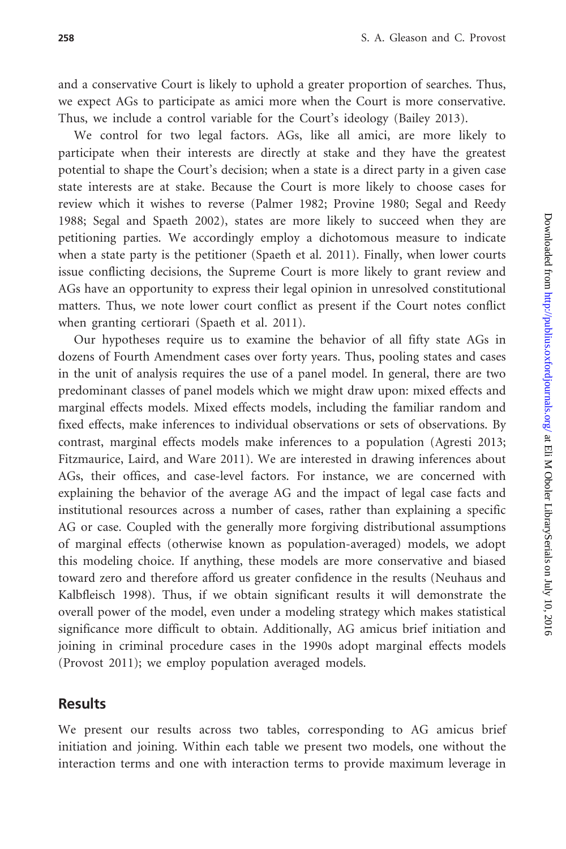and a conservative Court is likely to uphold a greater proportion of searches. Thus, we expect AGs to participate as amici more when the Court is more conservative. Thus, we include a control variable for the Court's ideology [\(Bailey 2013](#page-22-0)).

We control for two legal factors. AGs, like all amici, are more likely to participate when their interests are directly at stake and they have the greatest potential to shape the Court's decision; when a state is a direct party in a given case state interests are at stake. Because the Court is more likely to choose cases for review which it wishes to reverse [\(Palmer 1982](#page-24-0); [Provine 1980;](#page-24-0) [Segal and Reedy](#page-25-0) [1988; Segal and Spaeth 2002\)](#page-25-0), states are more likely to succeed when they are petitioning parties. We accordingly employ a dichotomous measure to indicate when a state party is the petitioner [\(Spaeth et al. 2011](#page-25-0)). Finally, when lower courts issue conflicting decisions, the Supreme Court is more likely to grant review and AGs have an opportunity to express their legal opinion in unresolved constitutional matters. Thus, we note lower court conflict as present if the Court notes conflict when granting certiorari ([Spaeth et al. 2011](#page-25-0)).

Our hypotheses require us to examine the behavior of all fifty state AGs in dozens of Fourth Amendment cases over forty years. Thus, pooling states and cases in the unit of analysis requires the use of a panel model. In general, there are two predominant classes of panel models which we might draw upon: mixed effects and marginal effects models. Mixed effects models, including the familiar random and fixed effects, make inferences to individual observations or sets of observations. By contrast, marginal effects models make inferences to a population [\(Agresti 2013;](#page-22-0) [Fitzmaurice, Laird, and Ware 2011](#page-23-0)). We are interested in drawing inferences about AGs, their offices, and case-level factors. For instance, we are concerned with explaining the behavior of the average AG and the impact of legal case facts and institutional resources across a number of cases, rather than explaining a specific AG or case. Coupled with the generally more forgiving distributional assumptions of marginal effects (otherwise known as population-averaged) models, we adopt this modeling choice. If anything, these models are more conservative and biased toward zero and therefore afford us greater confidence in the results [\(Neuhaus and](#page-24-0) [Kalbfleisch 1998](#page-24-0)). Thus, if we obtain significant results it will demonstrate the overall power of the model, even under a modeling strategy which makes statistical significance more difficult to obtain. Additionally, AG amicus brief initiation and joining in criminal procedure cases in the 1990s adopt marginal effects models [\(Provost 2011](#page-25-0)); we employ population averaged models.

## **Results**

We present our results across two tables, corresponding to AG amicus brief initiation and joining. Within each table we present two models, one without the interaction terms and one with interaction terms to provide maximum leverage in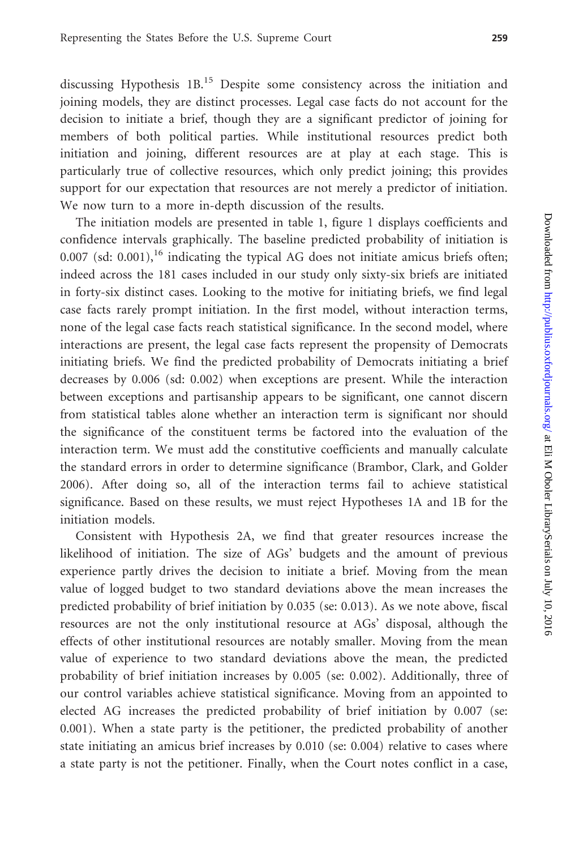discussing Hypothesis 1B.<sup>15</sup> Despite some consistency across the initiation and joining models, they are distinct processes. Legal case facts do not account for the decision to initiate a brief, though they are a significant predictor of joining for members of both political parties. While institutional resources predict both initiation and joining, different resources are at play at each stage. This is particularly true of collective resources, which only predict joining; this provides support for our expectation that resources are not merely a predictor of initiation. We now turn to a more in-depth discussion of the results.

The initiation models are presented in [table 1](#page-12-0), [figure 1](#page-13-0) displays coefficients and confidence intervals graphically. The baseline predicted probability of initiation is  $0.007$  (sd:  $0.001$ ),<sup>16</sup> indicating the typical AG does not initiate amicus briefs often; indeed across the 181 cases included in our study only sixty-six briefs are initiated in forty-six distinct cases. Looking to the motive for initiating briefs, we find legal case facts rarely prompt initiation. In the first model, without interaction terms, none of the legal case facts reach statistical significance. In the second model, where interactions are present, the legal case facts represent the propensity of Democrats initiating briefs. We find the predicted probability of Democrats initiating a brief decreases by 0.006 (sd: 0.002) when exceptions are present. While the interaction between exceptions and partisanship appears to be significant, one cannot discern from statistical tables alone whether an interaction term is significant nor should the significance of the constituent terms be factored into the evaluation of the interaction term. We must add the constitutive coefficients and manually calculate the standard errors in order to determine significance ([Brambor, Clark, and Golder](#page-22-0) [2006\)](#page-22-0). After doing so, all of the interaction terms fail to achieve statistical significance. Based on these results, we must reject Hypotheses 1A and 1B for the initiation models.

Consistent with Hypothesis 2A, we find that greater resources increase the likelihood of initiation. The size of AGs' budgets and the amount of previous experience partly drives the decision to initiate a brief. Moving from the mean value of logged budget to two standard deviations above the mean increases the predicted probability of brief initiation by 0.035 (se: 0.013). As we note above, fiscal resources are not the only institutional resource at AGs' disposal, although the effects of other institutional resources are notably smaller. Moving from the mean value of experience to two standard deviations above the mean, the predicted probability of brief initiation increases by 0.005 (se: 0.002). Additionally, three of our control variables achieve statistical significance. Moving from an appointed to elected AG increases the predicted probability of brief initiation by 0.007 (se: 0.001). When a state party is the petitioner, the predicted probability of another state initiating an amicus brief increases by 0.010 (se: 0.004) relative to cases where a state party is not the petitioner. Finally, when the Court notes conflict in a case,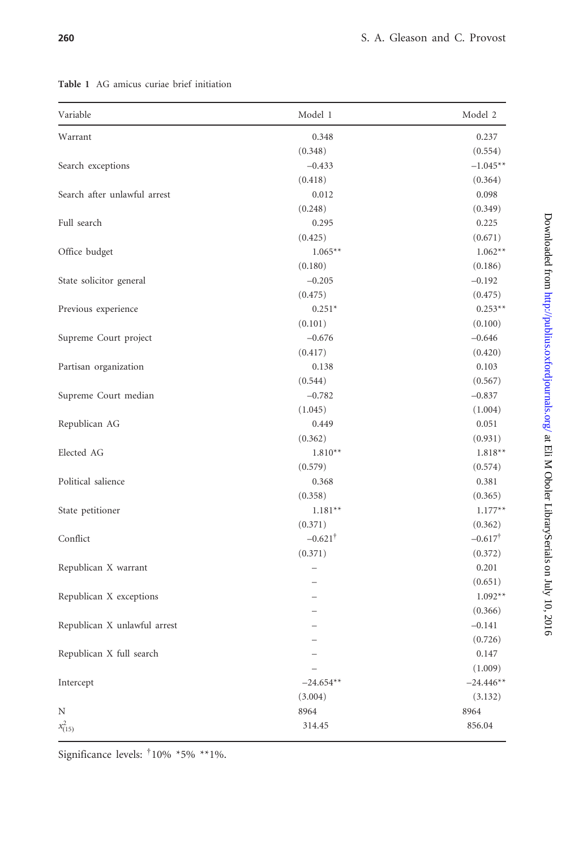| Variable                     | Model 1            | Model 2            |
|------------------------------|--------------------|--------------------|
| Warrant                      | 0.348              | 0.237              |
|                              | (0.348)            | (0.554)            |
| Search exceptions            | $-0.433$           | $-1.045**$         |
|                              | (0.418)            | (0.364)            |
| Search after unlawful arrest | 0.012              | 0.098              |
|                              | (0.248)            | (0.349)            |
| Full search                  | 0.295              | 0.225              |
|                              | (0.425)            | (0.671)            |
| Office budget                | $1.065**$          | $1.062**$          |
|                              | (0.180)            | (0.186)            |
| State solicitor general      | $-0.205$           | $-0.192$           |
|                              | (0.475)            | (0.475)            |
| Previous experience          | $0.251*$           | $0.253**$          |
|                              | (0.101)            | (0.100)            |
| Supreme Court project        | $-0.676$           | $-0.646$           |
|                              | (0.417)            | (0.420)            |
| Partisan organization        | 0.138              | 0.103              |
|                              | (0.544)            | (0.567)            |
| Supreme Court median         | $-0.782$           | $-0.837$           |
|                              | (1.045)            | (1.004)            |
| Republican AG                | 0.449              | 0.051              |
|                              | (0.362)            | (0.931)            |
| Elected AG                   | $1.810**$          | $1.818**$          |
|                              | (0.579)            | (0.574)            |
| Political salience           | 0.368              | 0.381              |
|                              | (0.358)            | (0.365)            |
| State petitioner             | $1.181**$          | $1.177**$          |
|                              | (0.371)            | (0.362)            |
| Conflict                     | $-0.621^{\dagger}$ | $-0.617^{\dagger}$ |
|                              | (0.371)            | (0.372)            |
| Republican X warrant         |                    | 0.201              |
|                              |                    | (0.651)            |
| Republican X exceptions      |                    | $1.092**$          |
|                              |                    | (0.366)            |
| Republican X unlawful arrest |                    | $-0.141$           |
|                              |                    | (0.726)            |
| Republican X full search     |                    | 0.147              |
|                              |                    | (1.009)            |
| Intercept<br>N               | $-24.654**$        | $-24.446**$        |
|                              | (3.004)            | (3.132)            |
|                              | 8964               | 8964               |
| $x_{(15)}^2$                 | 314.45             | 856.04             |
|                              |                    |                    |

<span id="page-12-0"></span>Table 1 AG amicus curiae brief initiation

Significance levels:  $\dagger$ 10% \*5% \*\*1%.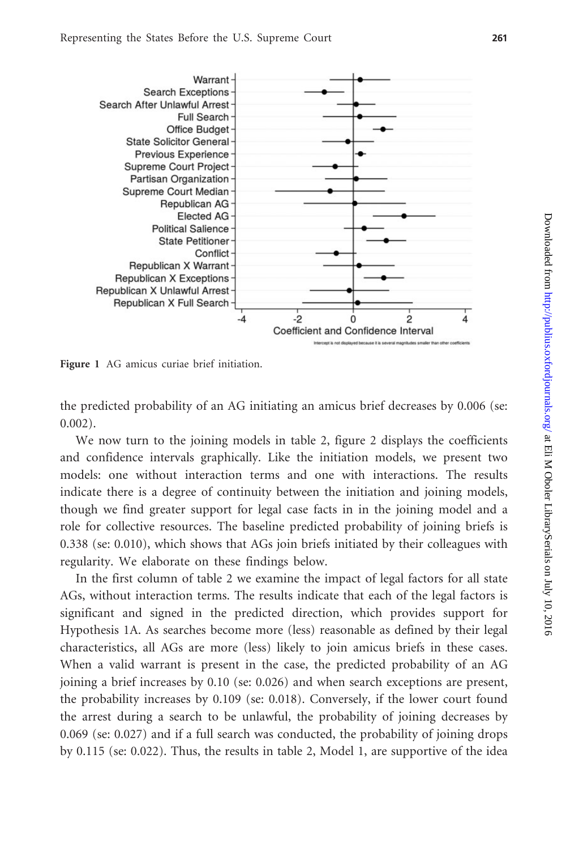<span id="page-13-0"></span>

Figure 1 AG amicus curiae brief initiation.

the predicted probability of an AG initiating an amicus brief decreases by 0.006 (se: 0.002).

We now turn to the joining models in [table 2](#page-14-0), [figure 2](#page-15-0) displays the coefficients and confidence intervals graphically. Like the initiation models, we present two models: one without interaction terms and one with interactions. The results indicate there is a degree of continuity between the initiation and joining models, though we find greater support for legal case facts in in the joining model and a role for collective resources. The baseline predicted probability of joining briefs is 0.338 (se: 0.010), which shows that AGs join briefs initiated by their colleagues with regularity. We elaborate on these findings below.

In the first column of [table 2](#page-14-0) we examine the impact of legal factors for all state AGs, without interaction terms. The results indicate that each of the legal factors is significant and signed in the predicted direction, which provides support for Hypothesis 1A. As searches become more (less) reasonable as defined by their legal characteristics, all AGs are more (less) likely to join amicus briefs in these cases. When a valid warrant is present in the case, the predicted probability of an AG joining a brief increases by 0.10 (se: 0.026) and when search exceptions are present, the probability increases by 0.109 (se: 0.018). Conversely, if the lower court found the arrest during a search to be unlawful, the probability of joining decreases by 0.069 (se: 0.027) and if a full search was conducted, the probability of joining drops by 0.115 (se: 0.022). Thus, the results in [table 2,](#page-14-0) Model 1, are supportive of the idea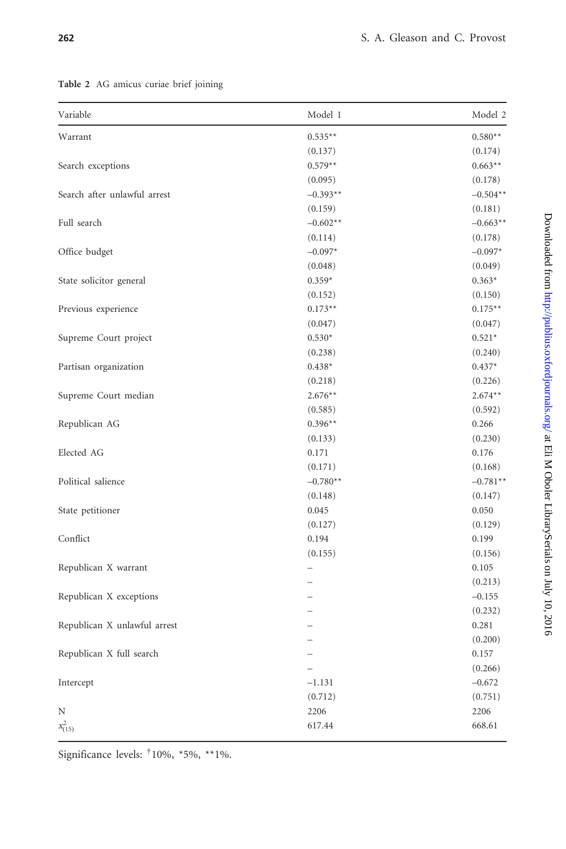| Variable                     | Model 1                  | Model 2    |
|------------------------------|--------------------------|------------|
| Warrant                      | $0.535**$                | $0.580**$  |
|                              | (0.137)                  | (0.174)    |
| Search exceptions            | $0.579**$                | $0.663**$  |
|                              | (0.095)                  | (0.178)    |
| Search after unlawful arrest | $-0.393**$               | $-0.504**$ |
|                              | (0.159)                  | (0.181)    |
| Full search                  | $-0.602**$               | $-0.663**$ |
|                              | (0.114)                  | (0.178)    |
| Office budget                | $-0.097*$                | $-0.097*$  |
|                              | (0.048)                  | (0.049)    |
| State solicitor general      | $0.359*$                 | $0.363*$   |
|                              | (0.152)                  | (0.150)    |
| Previous experience          | $0.173**$                | $0.175**$  |
|                              | (0.047)                  | (0.047)    |
| Supreme Court project        | $0.530*$                 | $0.521*$   |
|                              | (0.238)                  | (0.240)    |
| Partisan organization        | $0.438*$                 | $0.437*$   |
|                              | (0.218)                  | (0.226)    |
| Supreme Court median         | $2.676**$                | $2.674**$  |
|                              | (0.585)                  | (0.592)    |
| Republican AG                | $0.396**$                | 0.266      |
|                              | (0.133)                  | (0.230)    |
| Elected AG                   | 0.171                    | 0.176      |
|                              | (0.171)                  | (0.168)    |
| Political salience           | $-0.780**$               | $-0.781**$ |
|                              | (0.148)                  | (0.147)    |
| State petitioner             | 0.045                    | 0.050      |
|                              | (0.127)                  | (0.129)    |
| Conflict                     | 0.194                    | 0.199      |
|                              | (0.155)                  | (0.156)    |
| Republican X warrant         | $\overline{\phantom{0}}$ | 0.105      |
|                              |                          | (0.213)    |
| Republican X exceptions      |                          | $-0.155$   |
|                              |                          | (0.232)    |
| Republican X unlawful arrest |                          | 0.281      |
|                              |                          | (0.200)    |
| Republican X full search     |                          | 0.157      |
|                              |                          | (0.266)    |
| Intercept                    | $-1.131$                 | $-0.672$   |
|                              | (0.712)                  | (0.751)    |
| N                            | 2206                     | 2206       |
| $x_{(15)}^2$                 | 617.44                   | 668.61     |

<span id="page-14-0"></span>Table 2 AG amicus curiae brief joining

Significance levels:  $\dagger$ 10%, \*5%, \*\*1%.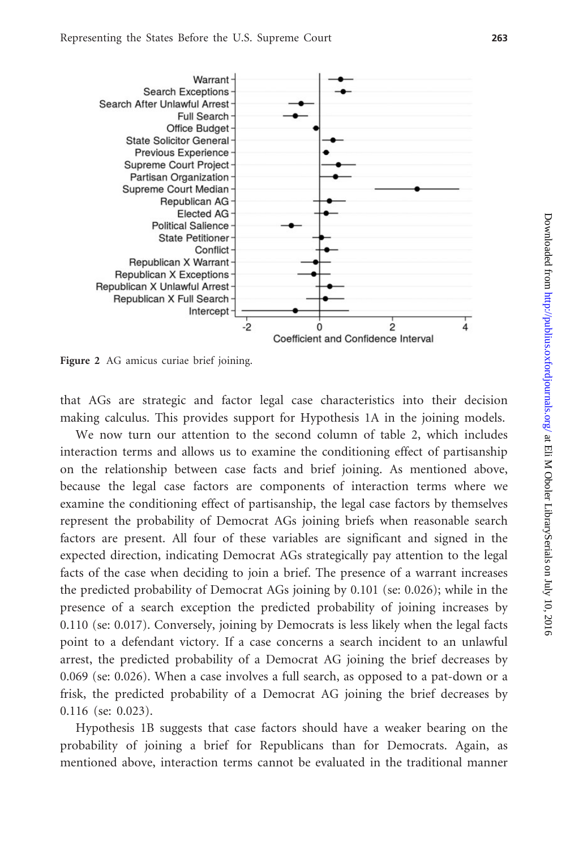<span id="page-15-0"></span>

Figure 2 AG amicus curiae brief joining.

that AGs are strategic and factor legal case characteristics into their decision making calculus. This provides support for Hypothesis 1A in the joining models.

We now turn our attention to the second column of [table 2,](#page-14-0) which includes interaction terms and allows us to examine the conditioning effect of partisanship on the relationship between case facts and brief joining. As mentioned above, because the legal case factors are components of interaction terms where we examine the conditioning effect of partisanship, the legal case factors by themselves represent the probability of Democrat AGs joining briefs when reasonable search factors are present. All four of these variables are significant and signed in the expected direction, indicating Democrat AGs strategically pay attention to the legal facts of the case when deciding to join a brief. The presence of a warrant increases the predicted probability of Democrat AGs joining by 0.101 (se: 0.026); while in the presence of a search exception the predicted probability of joining increases by 0.110 (se: 0.017). Conversely, joining by Democrats is less likely when the legal facts point to a defendant victory. If a case concerns a search incident to an unlawful arrest, the predicted probability of a Democrat AG joining the brief decreases by 0.069 (se: 0.026). When a case involves a full search, as opposed to a pat-down or a frisk, the predicted probability of a Democrat AG joining the brief decreases by 0.116 (se: 0.023).

Hypothesis 1B suggests that case factors should have a weaker bearing on the probability of joining a brief for Republicans than for Democrats. Again, as mentioned above, interaction terms cannot be evaluated in the traditional manner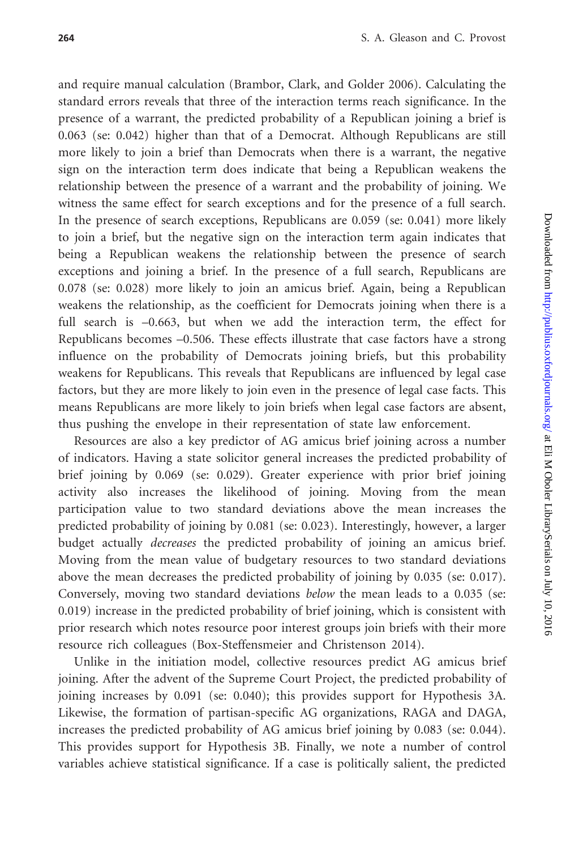and require manual calculation ([Brambor, Clark, and Golder 2006\)](#page-22-0). Calculating the standard errors reveals that three of the interaction terms reach significance. In the presence of a warrant, the predicted probability of a Republican joining a brief is 0.063 (se: 0.042) higher than that of a Democrat. Although Republicans are still more likely to join a brief than Democrats when there is a warrant, the negative sign on the interaction term does indicate that being a Republican weakens the relationship between the presence of a warrant and the probability of joining. We witness the same effect for search exceptions and for the presence of a full search. In the presence of search exceptions, Republicans are 0.059 (se: 0.041) more likely to join a brief, but the negative sign on the interaction term again indicates that being a Republican weakens the relationship between the presence of search exceptions and joining a brief. In the presence of a full search, Republicans are 0.078 (se: 0.028) more likely to join an amicus brief. Again, being a Republican weakens the relationship, as the coefficient for Democrats joining when there is a full search is –0.663, but when we add the interaction term, the effect for Republicans becomes –0.506. These effects illustrate that case factors have a strong influence on the probability of Democrats joining briefs, but this probability weakens for Republicans. This reveals that Republicans are influenced by legal case factors, but they are more likely to join even in the presence of legal case facts. This means Republicans are more likely to join briefs when legal case factors are absent, thus pushing the envelope in their representation of state law enforcement.

Resources are also a key predictor of AG amicus brief joining across a number of indicators. Having a state solicitor general increases the predicted probability of brief joining by 0.069 (se: 0.029). Greater experience with prior brief joining activity also increases the likelihood of joining. Moving from the mean participation value to two standard deviations above the mean increases the predicted probability of joining by 0.081 (se: 0.023). Interestingly, however, a larger budget actually decreases the predicted probability of joining an amicus brief. Moving from the mean value of budgetary resources to two standard deviations above the mean decreases the predicted probability of joining by 0.035 (se: 0.017). Conversely, moving two standard deviations below the mean leads to a 0.035 (se: 0.019) increase in the predicted probability of brief joining, which is consistent with prior research which notes resource poor interest groups join briefs with their more resource rich colleagues [\(Box-Steffensmeier and Christenson 2014\)](#page-22-0).

Unlike in the initiation model, collective resources predict AG amicus brief joining. After the advent of the Supreme Court Project, the predicted probability of joining increases by 0.091 (se: 0.040); this provides support for Hypothesis 3A. Likewise, the formation of partisan-specific AG organizations, RAGA and DAGA, increases the predicted probability of AG amicus brief joining by 0.083 (se: 0.044). This provides support for Hypothesis 3B. Finally, we note a number of control variables achieve statistical significance. If a case is politically salient, the predicted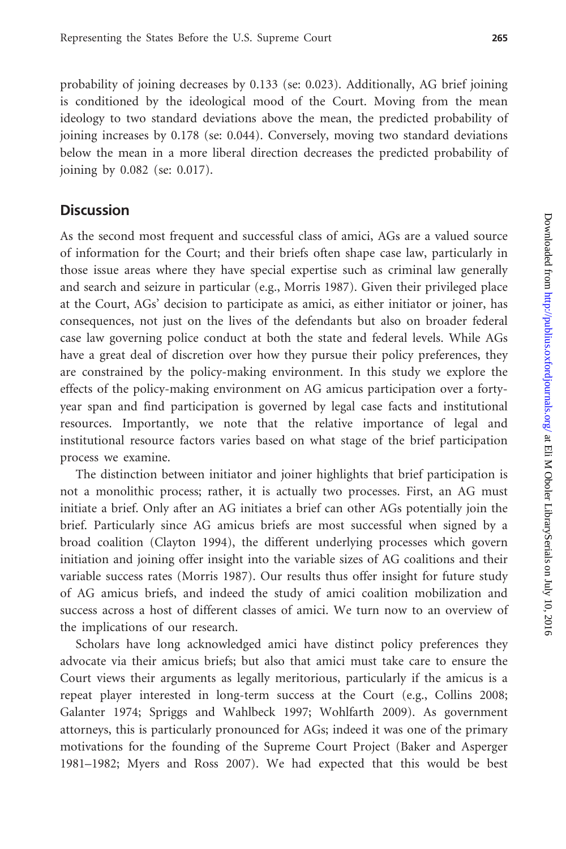probability of joining decreases by 0.133 (se: 0.023). Additionally, AG brief joining is conditioned by the ideological mood of the Court. Moving from the mean ideology to two standard deviations above the mean, the predicted probability of joining increases by 0.178 (se: 0.044). Conversely, moving two standard deviations below the mean in a more liberal direction decreases the predicted probability of joining by 0.082 (se: 0.017).

## **Discussion**

As the second most frequent and successful class of amici, AGs are a valued source of information for the Court; and their briefs often shape case law, particularly in those issue areas where they have special expertise such as criminal law generally and search and seizure in particular (e.g., [Morris 1987\)](#page-24-0). Given their privileged place at the Court, AGs' decision to participate as amici, as either initiator or joiner, has consequences, not just on the lives of the defendants but also on broader federal case law governing police conduct at both the state and federal levels. While AGs have a great deal of discretion over how they pursue their policy preferences, they are constrained by the policy-making environment. In this study we explore the effects of the policy-making environment on AG amicus participation over a fortyyear span and find participation is governed by legal case facts and institutional resources. Importantly, we note that the relative importance of legal and institutional resource factors varies based on what stage of the brief participation process we examine.

The distinction between initiator and joiner highlights that brief participation is not a monolithic process; rather, it is actually two processes. First, an AG must initiate a brief. Only after an AG initiates a brief can other AGs potentially join the brief. Particularly since AG amicus briefs are most successful when signed by a broad coalition [\(Clayton 1994](#page-22-0)), the different underlying processes which govern initiation and joining offer insight into the variable sizes of AG coalitions and their variable success rates ([Morris 1987](#page-24-0)). Our results thus offer insight for future study of AG amicus briefs, and indeed the study of amici coalition mobilization and success across a host of different classes of amici. We turn now to an overview of the implications of our research.

Scholars have long acknowledged amici have distinct policy preferences they advocate via their amicus briefs; but also that amici must take care to ensure the Court views their arguments as legally meritorious, particularly if the amicus is a repeat player interested in long-term success at the Court (e.g., [Collins 2008](#page-23-0); [Galanter 1974;](#page-23-0) [Spriggs and Wahlbeck 1997](#page-25-0); [Wohlfarth 2009\)](#page-25-0). As government attorneys, this is particularly pronounced for AGs; indeed it was one of the primary motivations for the founding of the Supreme Court Project ([Baker and Asperger](#page-22-0) [1981–1982;](#page-22-0) [Myers and Ross 2007\).](#page-24-0) We had expected that this would be best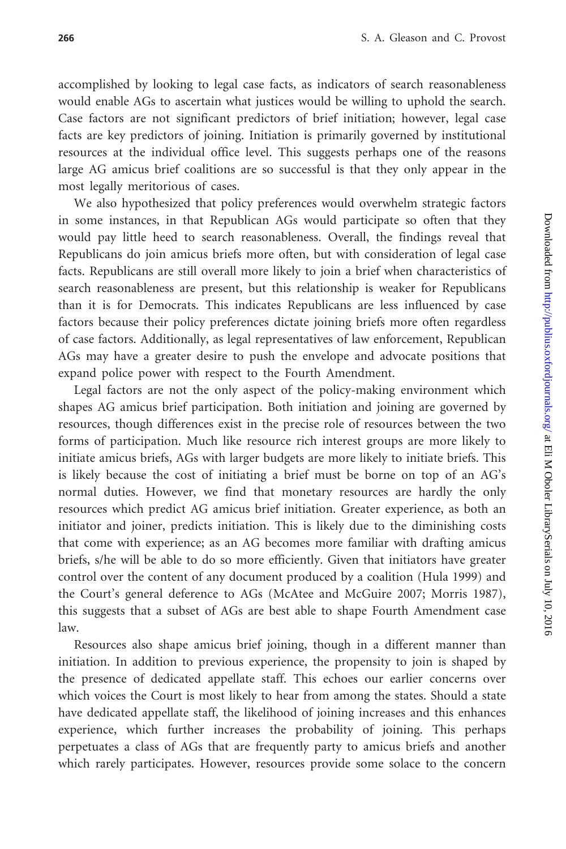accomplished by looking to legal case facts, as indicators of search reasonableness would enable AGs to ascertain what justices would be willing to uphold the search. Case factors are not significant predictors of brief initiation; however, legal case facts are key predictors of joining. Initiation is primarily governed by institutional resources at the individual office level. This suggests perhaps one of the reasons large AG amicus brief coalitions are so successful is that they only appear in the most legally meritorious of cases.

We also hypothesized that policy preferences would overwhelm strategic factors in some instances, in that Republican AGs would participate so often that they would pay little heed to search reasonableness. Overall, the findings reveal that Republicans do join amicus briefs more often, but with consideration of legal case facts. Republicans are still overall more likely to join a brief when characteristics of search reasonableness are present, but this relationship is weaker for Republicans than it is for Democrats. This indicates Republicans are less influenced by case factors because their policy preferences dictate joining briefs more often regardless of case factors. Additionally, as legal representatives of law enforcement, Republican AGs may have a greater desire to push the envelope and advocate positions that expand police power with respect to the Fourth Amendment.

Legal factors are not the only aspect of the policy-making environment which shapes AG amicus brief participation. Both initiation and joining are governed by resources, though differences exist in the precise role of resources between the two forms of participation. Much like resource rich interest groups are more likely to initiate amicus briefs, AGs with larger budgets are more likely to initiate briefs. This is likely because the cost of initiating a brief must be borne on top of an AG's normal duties. However, we find that monetary resources are hardly the only resources which predict AG amicus brief initiation. Greater experience, as both an initiator and joiner, predicts initiation. This is likely due to the diminishing costs that come with experience; as an AG becomes more familiar with drafting amicus briefs, s/he will be able to do so more efficiently. Given that initiators have greater control over the content of any document produced by a coalition [\(Hula 1999](#page-24-0)) and the Court's general deference to AGs [\(McAtee and McGuire 2007](#page-24-0); [Morris 1987](#page-24-0)), this suggests that a subset of AGs are best able to shape Fourth Amendment case law.

Resources also shape amicus brief joining, though in a different manner than initiation. In addition to previous experience, the propensity to join is shaped by the presence of dedicated appellate staff. This echoes our earlier concerns over which voices the Court is most likely to hear from among the states. Should a state have dedicated appellate staff, the likelihood of joining increases and this enhances experience, which further increases the probability of joining. This perhaps perpetuates a class of AGs that are frequently party to amicus briefs and another which rarely participates. However, resources provide some solace to the concern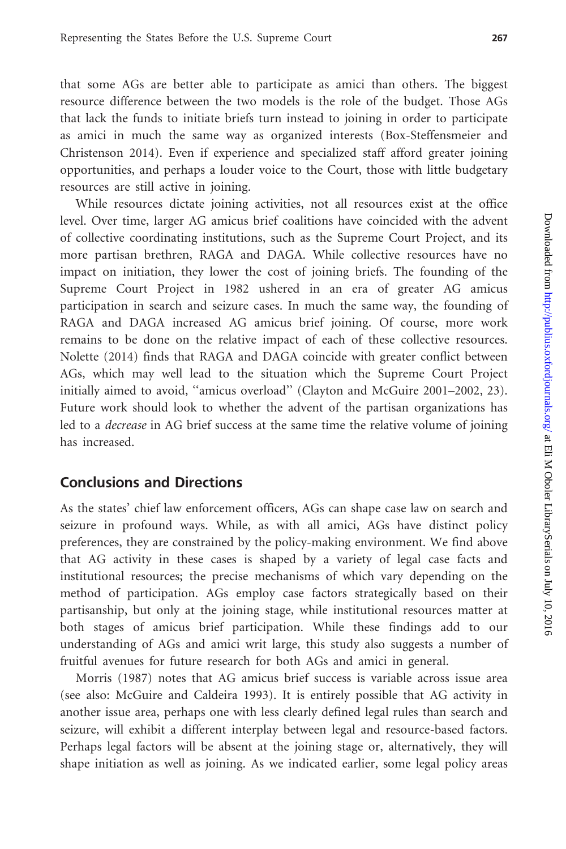that some AGs are better able to participate as amici than others. The biggest resource difference between the two models is the role of the budget. Those AGs that lack the funds to initiate briefs turn instead to joining in order to participate as amici in much the same way as organized interests [\(Box-Steffensmeier and](#page-22-0) [Christenson 2014\)](#page-22-0). Even if experience and specialized staff afford greater joining opportunities, and perhaps a louder voice to the Court, those with little budgetary resources are still active in joining.

While resources dictate joining activities, not all resources exist at the office level. Over time, larger AG amicus brief coalitions have coincided with the advent of collective coordinating institutions, such as the Supreme Court Project, and its more partisan brethren, RAGA and DAGA. While collective resources have no impact on initiation, they lower the cost of joining briefs. The founding of the Supreme Court Project in 1982 ushered in an era of greater AG amicus participation in search and seizure cases. In much the same way, the founding of RAGA and DAGA increased AG amicus brief joining. Of course, more work remains to be done on the relative impact of each of these collective resources. [Nolette \(2014\)](#page-24-0) finds that RAGA and DAGA coincide with greater conflict between AGs, which may well lead to the situation which the Supreme Court Project initially aimed to avoid, ''amicus overload'' ([Clayton and McGuire 2001–2002](#page-23-0), 23). Future work should look to whether the advent of the partisan organizations has led to a *decrease* in AG brief success at the same time the relative volume of joining has increased.

## Conclusions and Directions

As the states' chief law enforcement officers, AGs can shape case law on search and seizure in profound ways. While, as with all amici, AGs have distinct policy preferences, they are constrained by the policy-making environment. We find above that AG activity in these cases is shaped by a variety of legal case facts and institutional resources; the precise mechanisms of which vary depending on the method of participation. AGs employ case factors strategically based on their partisanship, but only at the joining stage, while institutional resources matter at both stages of amicus brief participation. While these findings add to our understanding of AGs and amici writ large, this study also suggests a number of fruitful avenues for future research for both AGs and amici in general.

[Morris \(1987\)](#page-24-0) notes that AG amicus brief success is variable across issue area (see also: [McGuire and Caldeira 1993\)](#page-24-0). It is entirely possible that AG activity in another issue area, perhaps one with less clearly defined legal rules than search and seizure, will exhibit a different interplay between legal and resource-based factors. Perhaps legal factors will be absent at the joining stage or, alternatively, they will shape initiation as well as joining. As we indicated earlier, some legal policy areas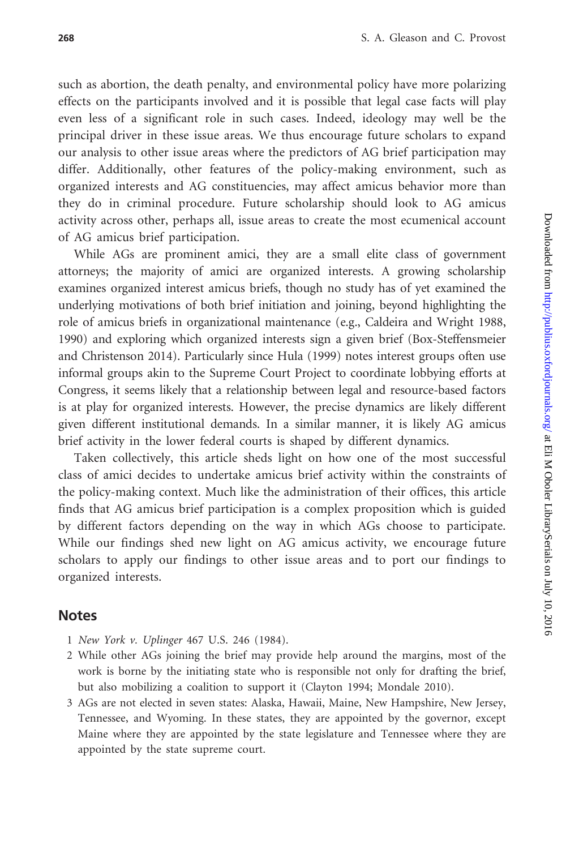such as abortion, the death penalty, and environmental policy have more polarizing effects on the participants involved and it is possible that legal case facts will play even less of a significant role in such cases. Indeed, ideology may well be the principal driver in these issue areas. We thus encourage future scholars to expand our analysis to other issue areas where the predictors of AG brief participation may differ. Additionally, other features of the policy-making environment, such as organized interests and AG constituencies, may affect amicus behavior more than they do in criminal procedure. Future scholarship should look to AG amicus activity across other, perhaps all, issue areas to create the most ecumenical account of AG amicus brief participation.

While AGs are prominent amici, they are a small elite class of government attorneys; the majority of amici are organized interests. A growing scholarship examines organized interest amicus briefs, though no study has of yet examined the underlying motivations of both brief initiation and joining, beyond highlighting the role of amicus briefs in organizational maintenance (e.g., Caldeira and Wright 1988, 1990) and exploring which organized interests sign a given brief ([Box-Steffensmeier](#page-22-0) [and Christenson 2014\)](#page-22-0). Particularly since [Hula \(1999\)](#page-24-0) notes interest groups often use informal groups akin to the Supreme Court Project to coordinate lobbying efforts at Congress, it seems likely that a relationship between legal and resource-based factors is at play for organized interests. However, the precise dynamics are likely different given different institutional demands. In a similar manner, it is likely AG amicus brief activity in the lower federal courts is shaped by different dynamics.

Taken collectively, this article sheds light on how one of the most successful class of amici decides to undertake amicus brief activity within the constraints of the policy-making context. Much like the administration of their offices, this article finds that AG amicus brief participation is a complex proposition which is guided by different factors depending on the way in which AGs choose to participate. While our findings shed new light on AG amicus activity, we encourage future scholars to apply our findings to other issue areas and to port our findings to organized interests.

### Notes

- 1 New York v. Uplinger 467 U.S. 246 (1984).
- 2 While other AGs joining the brief may provide help around the margins, most of the work is borne by the initiating state who is responsible not only for drafting the brief, but also mobilizing a coalition to support it [\(Clayton 1994](#page-22-0); [Mondale 2010](#page-24-0)).
- 3 AGs are not elected in seven states: Alaska, Hawaii, Maine, New Hampshire, New Jersey, Tennessee, and Wyoming. In these states, they are appointed by the governor, except Maine where they are appointed by the state legislature and Tennessee where they are appointed by the state supreme court.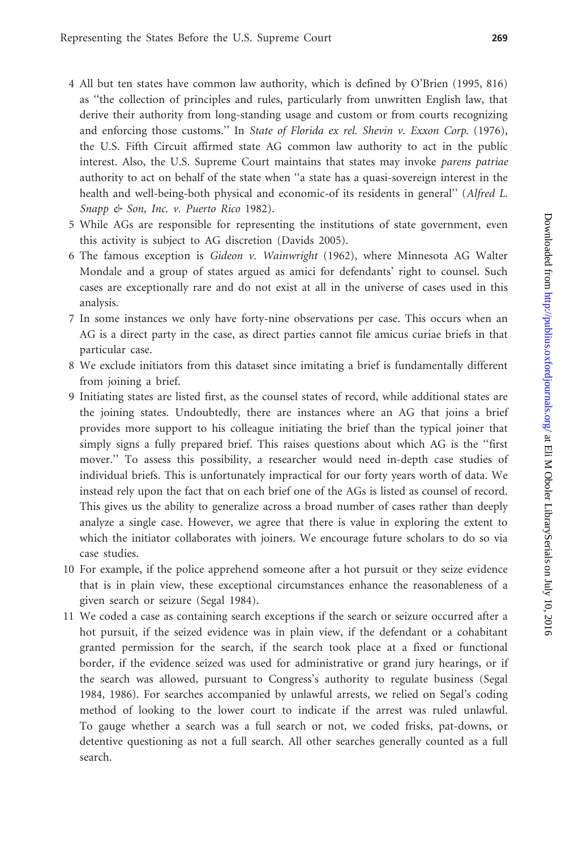- 4 All but ten states have common law authority, which is defined by O'Brien ([1995,](#page-24-0) 816) as ''the collection of principles and rules, particularly from unwritten English law, that derive their authority from long-standing usage and custom or from courts recognizing and enforcing those customs.'' In State of Florida ex rel. Shevin v. Exxon Corp. (1976), the U.S. Fifth Circuit affirmed state AG common law authority to act in the public interest. Also, the U.S. Supreme Court maintains that states may invoke parens patriae authority to act on behalf of the state when ''a state has a quasi-sovereign interest in the health and well-being-both physical and economic-of its residents in general'' ([Alfred L.](#page-22-0) [Snapp & Son, Inc. v. Puerto Rico](#page-22-0) 1982).
- 5 While AGs are responsible for representing the institutions of state government, even this activity is subject to AG discretion (Davids 2005).
- 6 The famous exception is Gideon v. Wainwright [\(1962](#page-23-0)), where Minnesota AG Walter Mondale and a group of states argued as amici for defendants' right to counsel. Such cases are exceptionally rare and do not exist at all in the universe of cases used in this analysis.
- 7 In some instances we only have forty-nine observations per case. This occurs when an AG is a direct party in the case, as direct parties cannot file amicus curiae briefs in that particular case.
- 8 We exclude initiators from this dataset since imitating a brief is fundamentally different from joining a brief.
- 9 Initiating states are listed first, as the counsel states of record, while additional states are the joining states. Undoubtedly, there are instances where an AG that joins a brief provides more support to his colleague initiating the brief than the typical joiner that simply signs a fully prepared brief. This raises questions about which AG is the ''first mover.'' To assess this possibility, a researcher would need in-depth case studies of individual briefs. This is unfortunately impractical for our forty years worth of data. We instead rely upon the fact that on each brief one of the AGs is listed as counsel of record. This gives us the ability to generalize across a broad number of cases rather than deeply analyze a single case. However, we agree that there is value in exploring the extent to which the initiator collaborates with joiners. We encourage future scholars to do so via case studies.
- 10 For example, if the police apprehend someone after a hot pursuit or they seize evidence that is in plain view, these exceptional circumstances enhance the reasonableness of a given search or seizure [\(Segal 1984](#page-25-0)).
- 11 We coded a case as containing search exceptions if the search or seizure occurred after a hot pursuit, if the seized evidence was in plain view, if the defendant or a cohabitant granted permission for the search, if the search took place at a fixed or functional border, if the evidence seized was used for administrative or grand jury hearings, or if the search was allowed, pursuant to Congress's authority to regulate business [\(Segal](#page-25-0) [1984, 1986\)](#page-25-0). For searches accompanied by unlawful arrests, we relied on Segal's coding method of looking to the lower court to indicate if the arrest was ruled unlawful. To gauge whether a search was a full search or not, we coded frisks, pat-downs, or detentive questioning as not a full search. All other searches generally counted as a full search.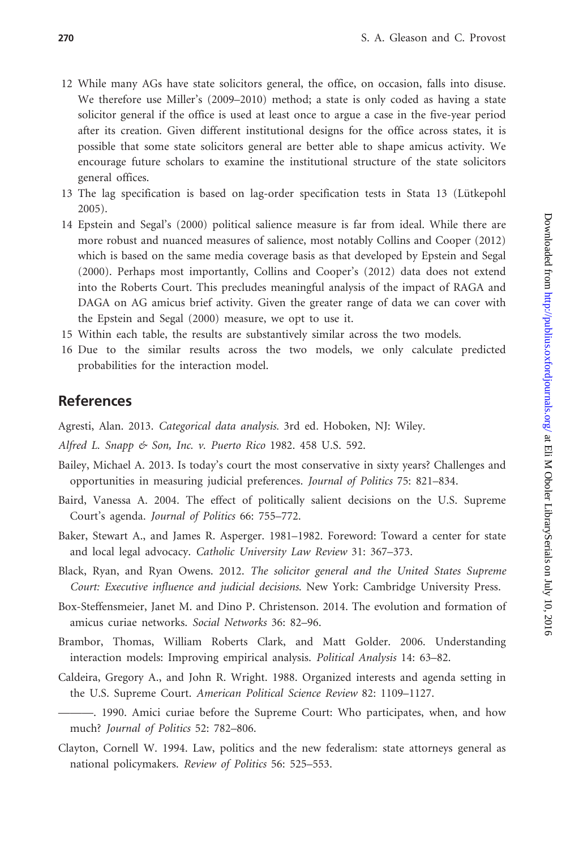- <span id="page-22-0"></span>12 While many AGs have state solicitors general, the office, on occasion, falls into disuse. We therefore use Miller's ([2009–2010](#page-24-0)) method; a state is only coded as having a state solicitor general if the office is used at least once to argue a case in the five-year period after its creation. Given different institutional designs for the office across states, it is possible that some state solicitors general are better able to shape amicus activity. We encourage future scholars to examine the institutional structure of the state solicitors general offices.
- 13 The lag specification is based on lag-order specification tests in Stata 13 (Lütkepohl [2005\)](#page-24-0).
- 14 Epstein and Segal's ([2000](#page-23-0)) political salience measure is far from ideal. While there are more robust and nuanced measures of salience, most notably [Collins and Cooper \(2012\)](#page-23-0) which is based on the same media coverage basis as that developed by [Epstein and Segal](#page-23-0) [\(2000\)](#page-23-0). Perhaps most importantly, Collins and Cooper's [\(2012](#page-23-0)) data does not extend into the Roberts Court. This precludes meaningful analysis of the impact of RAGA and DAGA on AG amicus brief activity. Given the greater range of data we can cover with the [Epstein and Segal \(2000\)](#page-23-0) measure, we opt to use it.
- 15 Within each table, the results are substantively similar across the two models.
- 16 Due to the similar results across the two models, we only calculate predicted probabilities for the interaction model.

## References

Agresti, Alan. 2013. Categorical data analysis. 3rd ed. Hoboken, NJ: Wiley.

- Alfred L. Snapp & Son, Inc. v. Puerto Rico 1982. 458 U.S. 592.
- Bailey, Michael A. 2013. Is today's court the most conservative in sixty years? Challenges and opportunities in measuring judicial preferences. Journal of Politics 75: 821–834.
- Baird, Vanessa A. 2004. The effect of politically salient decisions on the U.S. Supreme Court's agenda. Journal of Politics 66: 755–772.
- Baker, Stewart A., and James R. Asperger. 1981–1982. Foreword: Toward a center for state and local legal advocacy. Catholic University Law Review 31: 367–373.
- Black, Ryan, and Ryan Owens. 2012. The solicitor general and the United States Supreme Court: Executive influence and judicial decisions. New York: Cambridge University Press.
- Box-Steffensmeier, Janet M. and Dino P. Christenson. 2014. The evolution and formation of amicus curiae networks. Social Networks 36: 82–96.
- Brambor, Thomas, William Roberts Clark, and Matt Golder. 2006. Understanding interaction models: Improving empirical analysis. Political Analysis 14: 63–82.
- Caldeira, Gregory A., and John R. Wright. 1988. Organized interests and agenda setting in the U.S. Supreme Court. American Political Science Review 82: 1109–1127.
- ———. 1990. Amici curiae before the Supreme Court: Who participates, when, and how much? Journal of Politics 52: 782–806.
- Clayton, Cornell W. 1994. Law, politics and the new federalism: state attorneys general as national policymakers. Review of Politics 56: 525–553.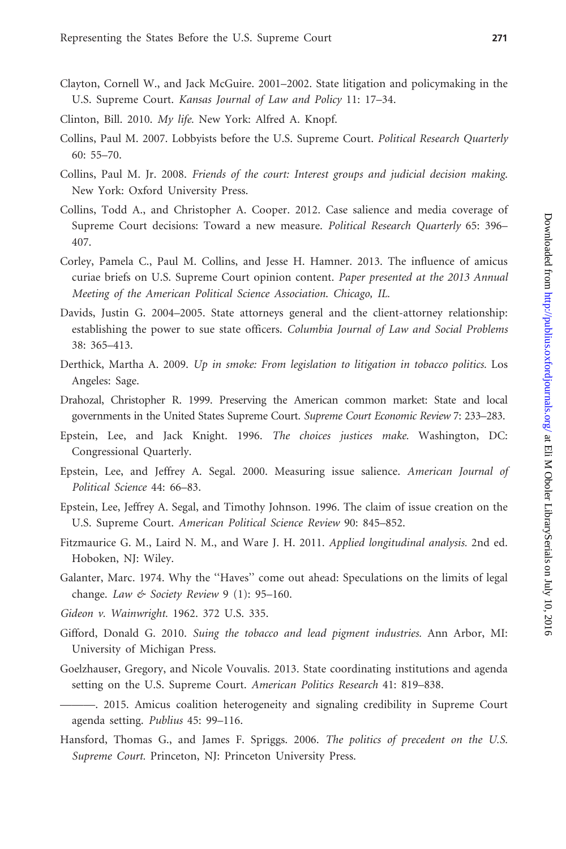- <span id="page-23-0"></span>Clayton, Cornell W., and Jack McGuire. 2001–2002. State litigation and policymaking in the U.S. Supreme Court. Kansas Journal of Law and Policy 11: 17–34.
- Clinton, Bill. 2010. My life. New York: Alfred A. Knopf.
- Collins, Paul M. 2007. Lobbyists before the U.S. Supreme Court. Political Research Quarterly 60: 55–70.
- Collins, Paul M. Jr. 2008. Friends of the court: Interest groups and judicial decision making. New York: Oxford University Press.
- Collins, Todd A., and Christopher A. Cooper. 2012. Case salience and media coverage of Supreme Court decisions: Toward a new measure. Political Research Quarterly 65: 396– 407.
- Corley, Pamela C., Paul M. Collins, and Jesse H. Hamner. 2013. The influence of amicus curiae briefs on U.S. Supreme Court opinion content. Paper presented at the 2013 Annual Meeting of the American Political Science Association. Chicago, IL.
- Davids, Justin G. 2004–2005. State attorneys general and the client-attorney relationship: establishing the power to sue state officers. Columbia Journal of Law and Social Problems 38: 365–413.
- Derthick, Martha A. 2009. Up in smoke: From legislation to litigation in tobacco politics. Los Angeles: Sage.
- Drahozal, Christopher R. 1999. Preserving the American common market: State and local governments in the United States Supreme Court. Supreme Court Economic Review 7: 233–283.
- Epstein, Lee, and Jack Knight. 1996. The choices justices make. Washington, DC: Congressional Quarterly.
- Epstein, Lee, and Jeffrey A. Segal. 2000. Measuring issue salience. American Journal of Political Science 44: 66–83.
- Epstein, Lee, Jeffrey A. Segal, and Timothy Johnson. 1996. The claim of issue creation on the U.S. Supreme Court. American Political Science Review 90: 845–852.
- Fitzmaurice G. M., Laird N. M., and Ware J. H. 2011. Applied longitudinal analysis. 2nd ed. Hoboken, NJ: Wiley.
- Galanter, Marc. 1974. Why the ''Haves'' come out ahead: Speculations on the limits of legal change. Law & Society Review 9 (1): 95-160.
- Gideon v. Wainwright. 1962. 372 U.S. 335.
- Gifford, Donald G. 2010. Suing the tobacco and lead pigment industries. Ann Arbor, MI: University of Michigan Press.
- Goelzhauser, Gregory, and Nicole Vouvalis. 2013. State coordinating institutions and agenda setting on the U.S. Supreme Court. American Politics Research 41: 819–838.
	- ———. 2015. Amicus coalition heterogeneity and signaling credibility in Supreme Court agenda setting. Publius 45: 99–116.
- Hansford, Thomas G., and James F. Spriggs. 2006. The politics of precedent on the U.S. Supreme Court. Princeton, NJ: Princeton University Press.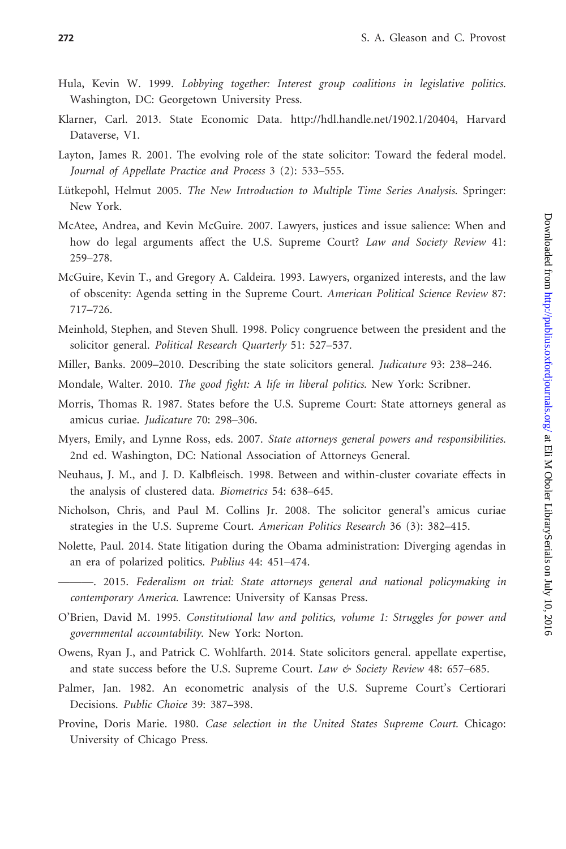- <span id="page-24-0"></span>Hula, Kevin W. 1999. Lobbying together: Interest group coalitions in legislative politics. Washington, DC: Georgetown University Press.
- Klarner, Carl. 2013. State Economic Data. [http://hdl.handle.net/1902.1/20404,](http://hdl.handle.net/1902.1/20404) Harvard Dataverse, V1.
- Layton, James R. 2001. The evolving role of the state solicitor: Toward the federal model. Journal of Appellate Practice and Process 3 (2): 533–555.
- Lütkepohl, Helmut 2005. The New Introduction to Multiple Time Series Analysis. Springer: New York.
- McAtee, Andrea, and Kevin McGuire. 2007. Lawyers, justices and issue salience: When and how do legal arguments affect the U.S. Supreme Court? Law and Society Review 41: 259–278.
- McGuire, Kevin T., and Gregory A. Caldeira. 1993. Lawyers, organized interests, and the law of obscenity: Agenda setting in the Supreme Court. American Political Science Review 87: 717–726.
- Meinhold, Stephen, and Steven Shull. 1998. Policy congruence between the president and the solicitor general. Political Research Quarterly 51: 527–537.
- Miller, Banks. 2009–2010. Describing the state solicitors general. Judicature 93: 238–246.
- Mondale, Walter. 2010. The good fight: A life in liberal politics. New York: Scribner.
- Morris, Thomas R. 1987. States before the U.S. Supreme Court: State attorneys general as amicus curiae. Judicature 70: 298–306.
- Myers, Emily, and Lynne Ross, eds. 2007. State attorneys general powers and responsibilities. 2nd ed. Washington, DC: National Association of Attorneys General.
- Neuhaus, J. M., and J. D. Kalbfleisch. 1998. Between and within-cluster covariate effects in the analysis of clustered data. Biometrics 54: 638–645.
- Nicholson, Chris, and Paul M. Collins Jr. 2008. The solicitor general's amicus curiae strategies in the U.S. Supreme Court. American Politics Research 36 (3): 382–415.
- Nolette, Paul. 2014. State litigation during the Obama administration: Diverging agendas in an era of polarized politics. Publius 44: 451–474.
	- ———. 2015. Federalism on trial: State attorneys general and national policymaking in contemporary America. Lawrence: University of Kansas Press.
- O'Brien, David M. 1995. Constitutional law and politics, volume 1: Struggles for power and governmental accountability. New York: Norton.
- Owens, Ryan J., and Patrick C. Wohlfarth. 2014. State solicitors general. appellate expertise, and state success before the U.S. Supreme Court. Law & Society Review 48: 657-685.
- Palmer, Jan. 1982. An econometric analysis of the U.S. Supreme Court's Certiorari Decisions. Public Choice 39: 387–398.
- Provine, Doris Marie. 1980. Case selection in the United States Supreme Court. Chicago: University of Chicago Press.